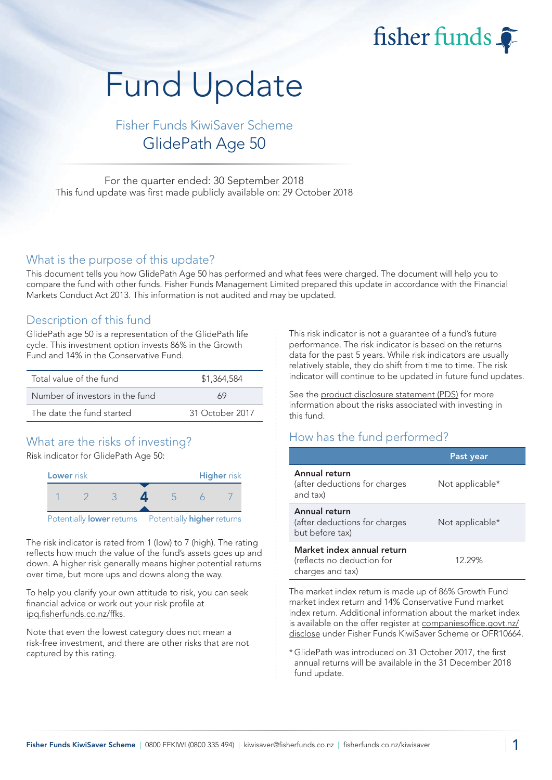fisher funds

# Fund Update

Fisher Funds KiwiSaver Scheme GlidePath Age 50

For the quarter ended: 30 September 2018 This fund update was first made publicly available on: 29 October 2018

#### What is the purpose of this update?

This document tells you how GlidePath Age 50 has performed and what fees were charged. The document will help you to compare the fund with other funds. Fisher Funds Management Limited prepared this update in accordance with the Financial Markets Conduct Act 2013. This information is not audited and may be updated.

## Description of this fund

GlidePath age 50 is a representation of the GlidePath life cycle. This investment option invests 86% in the Growth Fund and 14% in the Conservative Fund.

| Total value of the fund         | \$1,364,584     |  |  |
|---------------------------------|-----------------|--|--|
| Number of investors in the fund | 69              |  |  |
| The date the fund started       | 31 October 2017 |  |  |

# What are the risks of investing?

Risk indicator for GlidePath Age 50:



The risk indicator is rated from 1 (low) to 7 (high). The rating reflects how much the value of the fund's assets goes up and down. A higher risk generally means higher potential returns over time, but more ups and downs along the way.

To help you clarify your own attitude to risk, you can seek financial advice or work out your risk profile at [ipq.fisherfunds.co.nz/ffks.](https://ipq.fisherfunds.co.nz/ffks)

Note that even the lowest category does not mean a risk-free investment, and there are other risks that are not captured by this rating.

This risk indicator is not a guarantee of a fund's future performance. The risk indicator is based on the returns data for the past 5 years. While risk indicators are usually relatively stable, they do shift from time to time. The risk indicator will continue to be updated in future fund updates.

See the [product disclosure statement \(PDS\)](https://fisherfunds.co.nz/assets/PDS/Fisher-Funds-KiwiSaver-Scheme-PDS.pdf) for more information about the risks associated with investing in this fund.

# How has the fund performed?

|                                                                              | Past year       |
|------------------------------------------------------------------------------|-----------------|
| Annual return<br>(after deductions for charges<br>and tax)                   | Not applicable* |
| Annual return<br>(after deductions for charges<br>but before tax)            | Not applicable* |
| Market index annual return<br>(reflects no deduction for<br>charges and tax) | 12.29%          |

The market index return is made up of 86% Growth Fund market index return and 14% Conservative Fund market index return. Additional information about the market index is available on the offer register at [companiesoffice.govt.nz/](http://companiesoffice.govt.nz/disclose) [disclose](http://companiesoffice.govt.nz/disclose) under Fisher Funds KiwiSaver Scheme or OFR10664.

\*GlidePath was introduced on 31 October 2017, the first annual returns will be available in the 31 December 2018 fund update.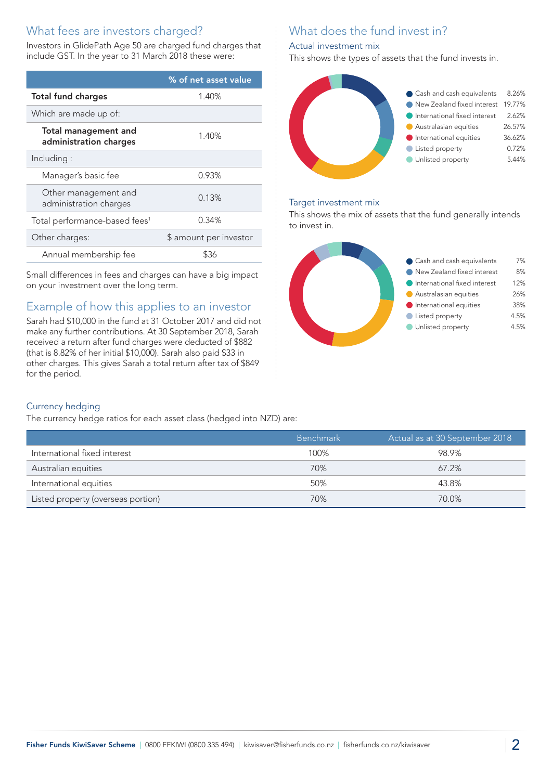# What fees are investors charged?

Investors in GlidePath Age 50 are charged fund charges that include GST. In the year to 31 March 2018 these were:

|                                                       | % of net asset value   |
|-------------------------------------------------------|------------------------|
| <b>Total fund charges</b>                             | 1.40%                  |
| Which are made up of:                                 |                        |
| <b>Total management and</b><br>administration charges | 1.40%                  |
| Including:                                            |                        |
| Manager's basic fee                                   | 0.93%                  |
| Other management and<br>administration charges        | 0.13%                  |
| Total performance-based fees <sup>1</sup>             | 0.34%                  |
| Other charges:                                        | \$ amount per investor |
| Annual membership fee                                 | \$36                   |

Small differences in fees and charges can have a big impact on your investment over the long term.

# Example of how this applies to an investor

Sarah had \$10,000 in the fund at 31 October 2017 and did not make any further contributions. At 30 September 2018, Sarah received a return after fund charges were deducted of \$882 (that is 8.82% of her initial \$10,000). Sarah also paid \$33 in other charges. This gives Sarah a total return after tax of \$849 for the period.

# What does the fund invest in?

#### Actual investment mix

This shows the types of assets that the fund invests in.



#### Target investment mix

This shows the mix of assets that the fund generally intends to invest in.



#### Currency hedging

The currency hedge ratios for each asset class (hedged into NZD) are:

|                                    | <b>Benchmark</b> | Actual as at 30 September 2018 |
|------------------------------------|------------------|--------------------------------|
| International fixed interest       | 100%             | 98.9%                          |
| Australian equities                | 70%              | $67.2\%$                       |
| International equities             | 50%              | 43.8%                          |
| Listed property (overseas portion) | 70%              | 70.0%                          |